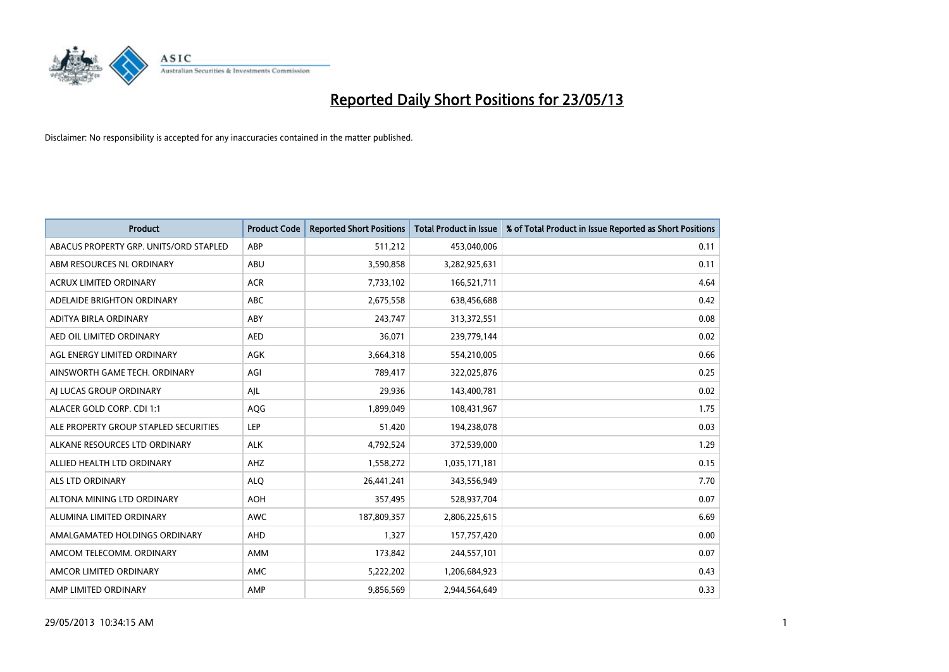

| <b>Product</b>                         | <b>Product Code</b> | <b>Reported Short Positions</b> | <b>Total Product in Issue</b> | % of Total Product in Issue Reported as Short Positions |
|----------------------------------------|---------------------|---------------------------------|-------------------------------|---------------------------------------------------------|
| ABACUS PROPERTY GRP. UNITS/ORD STAPLED | ABP                 | 511,212                         | 453,040,006                   | 0.11                                                    |
| ABM RESOURCES NL ORDINARY              | ABU                 | 3,590,858                       | 3,282,925,631                 | 0.11                                                    |
| <b>ACRUX LIMITED ORDINARY</b>          | <b>ACR</b>          | 7,733,102                       | 166,521,711                   | 4.64                                                    |
| ADELAIDE BRIGHTON ORDINARY             | <b>ABC</b>          | 2,675,558                       | 638,456,688                   | 0.42                                                    |
| <b>ADITYA BIRLA ORDINARY</b>           | ABY                 | 243,747                         | 313,372,551                   | 0.08                                                    |
| AED OIL LIMITED ORDINARY               | <b>AED</b>          | 36,071                          | 239,779,144                   | 0.02                                                    |
| AGL ENERGY LIMITED ORDINARY            | AGK                 | 3,664,318                       | 554,210,005                   | 0.66                                                    |
| AINSWORTH GAME TECH. ORDINARY          | AGI                 | 789,417                         | 322,025,876                   | 0.25                                                    |
| AI LUCAS GROUP ORDINARY                | AJL                 | 29,936                          | 143,400,781                   | 0.02                                                    |
| ALACER GOLD CORP. CDI 1:1              | AQG                 | 1,899,049                       | 108,431,967                   | 1.75                                                    |
| ALE PROPERTY GROUP STAPLED SECURITIES  | <b>LEP</b>          | 51,420                          | 194,238,078                   | 0.03                                                    |
| ALKANE RESOURCES LTD ORDINARY          | <b>ALK</b>          | 4,792,524                       | 372,539,000                   | 1.29                                                    |
| ALLIED HEALTH LTD ORDINARY             | AHZ                 | 1,558,272                       | 1,035,171,181                 | 0.15                                                    |
| <b>ALS LTD ORDINARY</b>                | <b>ALO</b>          | 26,441,241                      | 343,556,949                   | 7.70                                                    |
| ALTONA MINING LTD ORDINARY             | <b>AOH</b>          | 357,495                         | 528,937,704                   | 0.07                                                    |
| ALUMINA LIMITED ORDINARY               | <b>AWC</b>          | 187,809,357                     | 2,806,225,615                 | 6.69                                                    |
| AMALGAMATED HOLDINGS ORDINARY          | <b>AHD</b>          | 1,327                           | 157,757,420                   | 0.00                                                    |
| AMCOM TELECOMM. ORDINARY               | <b>AMM</b>          | 173,842                         | 244,557,101                   | 0.07                                                    |
| AMCOR LIMITED ORDINARY                 | AMC                 | 5,222,202                       | 1,206,684,923                 | 0.43                                                    |
| AMP LIMITED ORDINARY                   | AMP                 | 9,856,569                       | 2.944.564.649                 | 0.33                                                    |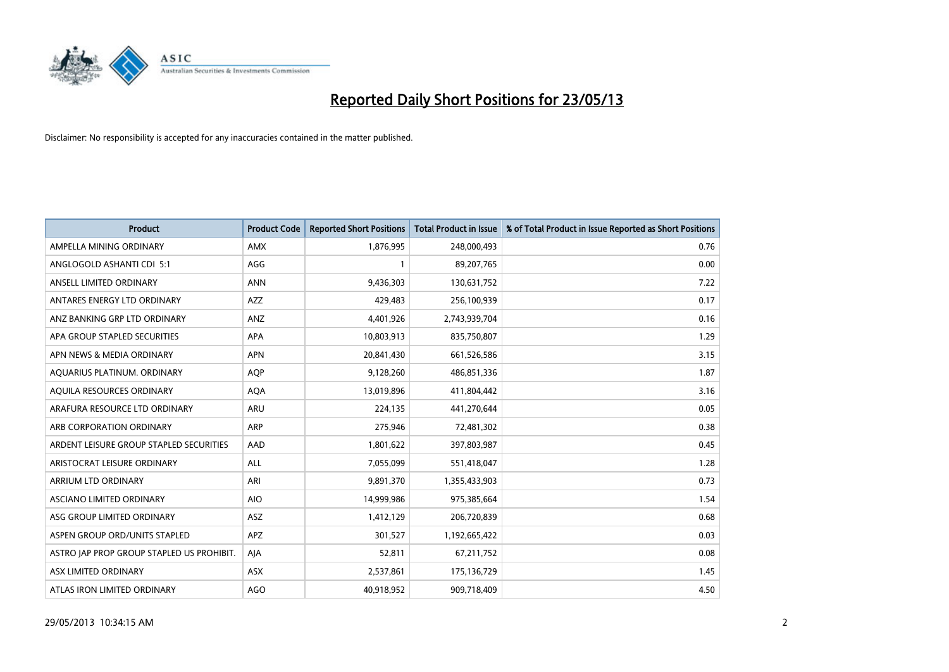

| <b>Product</b>                            | <b>Product Code</b> | <b>Reported Short Positions</b> | <b>Total Product in Issue</b> | % of Total Product in Issue Reported as Short Positions |
|-------------------------------------------|---------------------|---------------------------------|-------------------------------|---------------------------------------------------------|
| AMPELLA MINING ORDINARY                   | <b>AMX</b>          | 1,876,995                       | 248,000,493                   | 0.76                                                    |
| ANGLOGOLD ASHANTI CDI 5:1                 | AGG                 |                                 | 89,207,765                    | 0.00                                                    |
| ANSELL LIMITED ORDINARY                   | <b>ANN</b>          | 9,436,303                       | 130,631,752                   | 7.22                                                    |
| ANTARES ENERGY LTD ORDINARY               | AZZ                 | 429,483                         | 256,100,939                   | 0.17                                                    |
| ANZ BANKING GRP LTD ORDINARY              | ANZ                 | 4,401,926                       | 2,743,939,704                 | 0.16                                                    |
| APA GROUP STAPLED SECURITIES              | <b>APA</b>          | 10,803,913                      | 835,750,807                   | 1.29                                                    |
| APN NEWS & MEDIA ORDINARY                 | <b>APN</b>          | 20,841,430                      | 661,526,586                   | 3.15                                                    |
| AQUARIUS PLATINUM. ORDINARY               | <b>AQP</b>          | 9,128,260                       | 486,851,336                   | 1.87                                                    |
| AQUILA RESOURCES ORDINARY                 | <b>AQA</b>          | 13,019,896                      | 411,804,442                   | 3.16                                                    |
| ARAFURA RESOURCE LTD ORDINARY             | <b>ARU</b>          | 224,135                         | 441,270,644                   | 0.05                                                    |
| ARB CORPORATION ORDINARY                  | ARP                 | 275,946                         | 72,481,302                    | 0.38                                                    |
| ARDENT LEISURE GROUP STAPLED SECURITIES   | AAD                 | 1,801,622                       | 397,803,987                   | 0.45                                                    |
| ARISTOCRAT LEISURE ORDINARY               | ALL                 | 7,055,099                       | 551,418,047                   | 1.28                                                    |
| <b>ARRIUM LTD ORDINARY</b>                | ARI                 | 9,891,370                       | 1,355,433,903                 | 0.73                                                    |
| <b>ASCIANO LIMITED ORDINARY</b>           | <b>AIO</b>          | 14,999,986                      | 975,385,664                   | 1.54                                                    |
| ASG GROUP LIMITED ORDINARY                | ASZ                 | 1,412,129                       | 206,720,839                   | 0.68                                                    |
| ASPEN GROUP ORD/UNITS STAPLED             | <b>APZ</b>          | 301,527                         | 1,192,665,422                 | 0.03                                                    |
| ASTRO JAP PROP GROUP STAPLED US PROHIBIT. | AJA                 | 52,811                          | 67,211,752                    | 0.08                                                    |
| <b>ASX LIMITED ORDINARY</b>               | <b>ASX</b>          | 2,537,861                       | 175,136,729                   | 1.45                                                    |
| ATLAS IRON LIMITED ORDINARY               | <b>AGO</b>          | 40.918.952                      | 909,718,409                   | 4.50                                                    |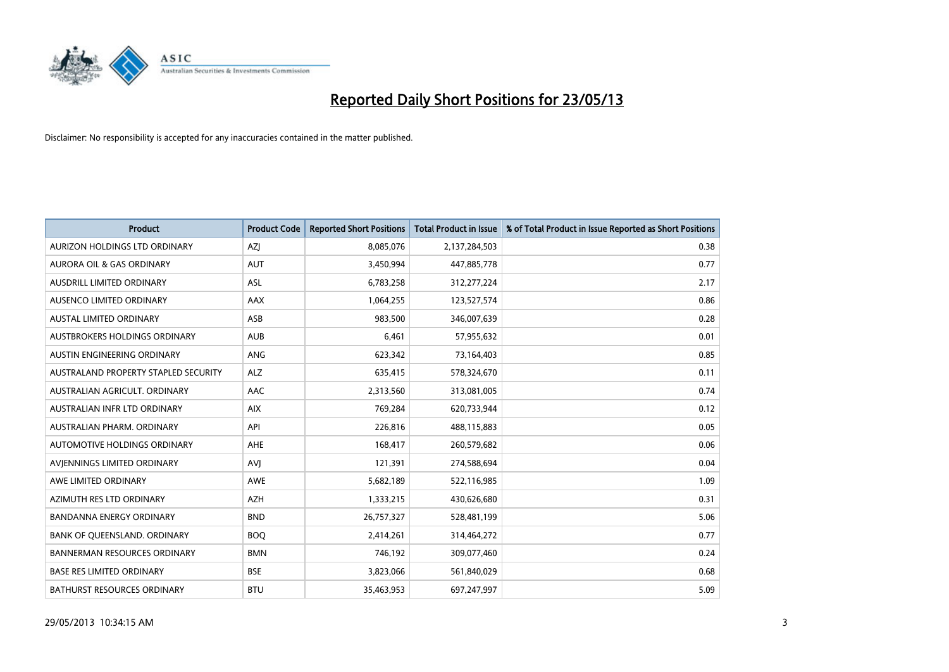

| <b>Product</b>                       | <b>Product Code</b> | <b>Reported Short Positions</b> | <b>Total Product in Issue</b> | % of Total Product in Issue Reported as Short Positions |
|--------------------------------------|---------------------|---------------------------------|-------------------------------|---------------------------------------------------------|
| AURIZON HOLDINGS LTD ORDINARY        | AZJ                 | 8,085,076                       | 2,137,284,503                 | 0.38                                                    |
| AURORA OIL & GAS ORDINARY            | <b>AUT</b>          | 3,450,994                       | 447,885,778                   | 0.77                                                    |
| <b>AUSDRILL LIMITED ORDINARY</b>     | <b>ASL</b>          | 6,783,258                       | 312,277,224                   | 2.17                                                    |
| AUSENCO LIMITED ORDINARY             | AAX                 | 1,064,255                       | 123,527,574                   | 0.86                                                    |
| <b>AUSTAL LIMITED ORDINARY</b>       | ASB                 | 983,500                         | 346,007,639                   | 0.28                                                    |
| AUSTBROKERS HOLDINGS ORDINARY        | <b>AUB</b>          | 6,461                           | 57,955,632                    | 0.01                                                    |
| AUSTIN ENGINEERING ORDINARY          | <b>ANG</b>          | 623,342                         | 73,164,403                    | 0.85                                                    |
| AUSTRALAND PROPERTY STAPLED SECURITY | <b>ALZ</b>          | 635,415                         | 578,324,670                   | 0.11                                                    |
| AUSTRALIAN AGRICULT. ORDINARY        | AAC                 | 2,313,560                       | 313,081,005                   | 0.74                                                    |
| AUSTRALIAN INFR LTD ORDINARY         | <b>AIX</b>          | 769,284                         | 620,733,944                   | 0.12                                                    |
| AUSTRALIAN PHARM. ORDINARY           | API                 | 226,816                         | 488,115,883                   | 0.05                                                    |
| AUTOMOTIVE HOLDINGS ORDINARY         | AHE                 | 168,417                         | 260,579,682                   | 0.06                                                    |
| AVIENNINGS LIMITED ORDINARY          | AVI                 | 121,391                         | 274,588,694                   | 0.04                                                    |
| AWE LIMITED ORDINARY                 | <b>AWE</b>          | 5,682,189                       | 522,116,985                   | 1.09                                                    |
| AZIMUTH RES LTD ORDINARY             | <b>AZH</b>          | 1,333,215                       | 430,626,680                   | 0.31                                                    |
| <b>BANDANNA ENERGY ORDINARY</b>      | <b>BND</b>          | 26,757,327                      | 528,481,199                   | 5.06                                                    |
| BANK OF QUEENSLAND. ORDINARY         | <b>BOQ</b>          | 2,414,261                       | 314,464,272                   | 0.77                                                    |
| BANNERMAN RESOURCES ORDINARY         | <b>BMN</b>          | 746,192                         | 309,077,460                   | 0.24                                                    |
| <b>BASE RES LIMITED ORDINARY</b>     | <b>BSE</b>          | 3,823,066                       | 561,840,029                   | 0.68                                                    |
| <b>BATHURST RESOURCES ORDINARY</b>   | <b>BTU</b>          | 35,463,953                      | 697,247,997                   | 5.09                                                    |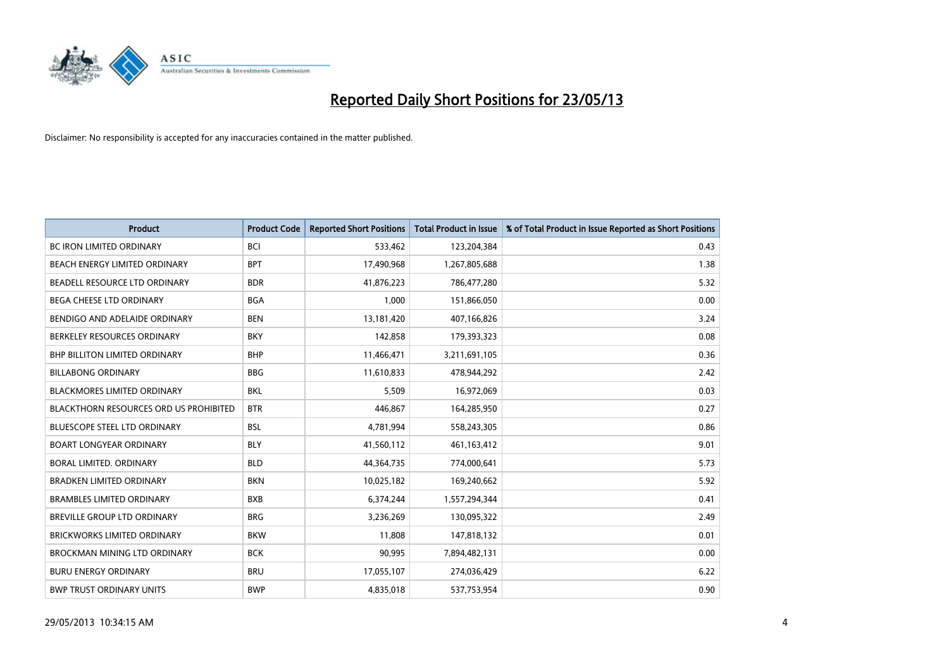

| <b>Product</b>                         | <b>Product Code</b> | <b>Reported Short Positions</b> | <b>Total Product in Issue</b> | % of Total Product in Issue Reported as Short Positions |
|----------------------------------------|---------------------|---------------------------------|-------------------------------|---------------------------------------------------------|
| <b>BC IRON LIMITED ORDINARY</b>        | <b>BCI</b>          | 533,462                         | 123,204,384                   | 0.43                                                    |
| BEACH ENERGY LIMITED ORDINARY          | <b>BPT</b>          | 17,490,968                      | 1,267,805,688                 | 1.38                                                    |
| BEADELL RESOURCE LTD ORDINARY          | <b>BDR</b>          | 41,876,223                      | 786,477,280                   | 5.32                                                    |
| BEGA CHEESE LTD ORDINARY               | <b>BGA</b>          | 1,000                           | 151,866,050                   | 0.00                                                    |
| BENDIGO AND ADELAIDE ORDINARY          | <b>BEN</b>          | 13,181,420                      | 407,166,826                   | 3.24                                                    |
| BERKELEY RESOURCES ORDINARY            | <b>BKY</b>          | 142,858                         | 179,393,323                   | 0.08                                                    |
| <b>BHP BILLITON LIMITED ORDINARY</b>   | <b>BHP</b>          | 11,466,471                      | 3,211,691,105                 | 0.36                                                    |
| <b>BILLABONG ORDINARY</b>              | <b>BBG</b>          | 11,610,833                      | 478,944,292                   | 2.42                                                    |
| BLACKMORES LIMITED ORDINARY            | BKL                 | 5,509                           | 16,972,069                    | 0.03                                                    |
| BLACKTHORN RESOURCES ORD US PROHIBITED | <b>BTR</b>          | 446,867                         | 164,285,950                   | 0.27                                                    |
| <b>BLUESCOPE STEEL LTD ORDINARY</b>    | <b>BSL</b>          | 4,781,994                       | 558,243,305                   | 0.86                                                    |
| <b>BOART LONGYEAR ORDINARY</b>         | <b>BLY</b>          | 41,560,112                      | 461, 163, 412                 | 9.01                                                    |
| BORAL LIMITED, ORDINARY                | <b>BLD</b>          | 44,364,735                      | 774,000,641                   | 5.73                                                    |
| <b>BRADKEN LIMITED ORDINARY</b>        | <b>BKN</b>          | 10,025,182                      | 169,240,662                   | 5.92                                                    |
| <b>BRAMBLES LIMITED ORDINARY</b>       | <b>BXB</b>          | 6,374,244                       | 1,557,294,344                 | 0.41                                                    |
| <b>BREVILLE GROUP LTD ORDINARY</b>     | <b>BRG</b>          | 3,236,269                       | 130,095,322                   | 2.49                                                    |
| <b>BRICKWORKS LIMITED ORDINARY</b>     | <b>BKW</b>          | 11,808                          | 147,818,132                   | 0.01                                                    |
| BROCKMAN MINING LTD ORDINARY           | <b>BCK</b>          | 90,995                          | 7,894,482,131                 | 0.00                                                    |
| <b>BURU ENERGY ORDINARY</b>            | <b>BRU</b>          | 17,055,107                      | 274,036,429                   | 6.22                                                    |
| <b>BWP TRUST ORDINARY UNITS</b>        | <b>BWP</b>          | 4,835,018                       | 537,753,954                   | 0.90                                                    |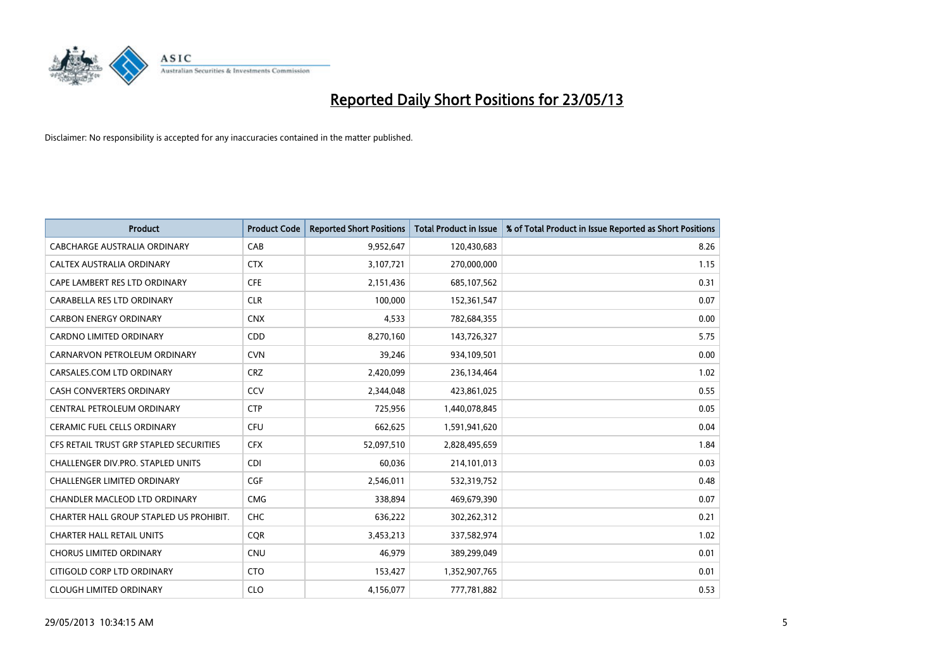

| <b>Product</b>                          | <b>Product Code</b> | <b>Reported Short Positions</b> | <b>Total Product in Issue</b> | % of Total Product in Issue Reported as Short Positions |
|-----------------------------------------|---------------------|---------------------------------|-------------------------------|---------------------------------------------------------|
| <b>CABCHARGE AUSTRALIA ORDINARY</b>     | CAB                 | 9,952,647                       | 120,430,683                   | 8.26                                                    |
| CALTEX AUSTRALIA ORDINARY               | <b>CTX</b>          | 3,107,721                       | 270,000,000                   | 1.15                                                    |
| CAPE LAMBERT RES LTD ORDINARY           | <b>CFE</b>          | 2,151,436                       | 685,107,562                   | 0.31                                                    |
| CARABELLA RES LTD ORDINARY              | <b>CLR</b>          | 100,000                         | 152,361,547                   | 0.07                                                    |
| <b>CARBON ENERGY ORDINARY</b>           | <b>CNX</b>          | 4,533                           | 782,684,355                   | 0.00                                                    |
| <b>CARDNO LIMITED ORDINARY</b>          | CDD                 | 8,270,160                       | 143,726,327                   | 5.75                                                    |
| CARNARVON PETROLEUM ORDINARY            | <b>CVN</b>          | 39,246                          | 934,109,501                   | 0.00                                                    |
| CARSALES.COM LTD ORDINARY               | <b>CRZ</b>          | 2,420,099                       | 236,134,464                   | 1.02                                                    |
| <b>CASH CONVERTERS ORDINARY</b>         | CCV                 | 2,344,048                       | 423,861,025                   | 0.55                                                    |
| <b>CENTRAL PETROLEUM ORDINARY</b>       | <b>CTP</b>          | 725,956                         | 1,440,078,845                 | 0.05                                                    |
| CERAMIC FUEL CELLS ORDINARY             | <b>CFU</b>          | 662,625                         | 1,591,941,620                 | 0.04                                                    |
| CFS RETAIL TRUST GRP STAPLED SECURITIES | <b>CFX</b>          | 52,097,510                      | 2,828,495,659                 | 1.84                                                    |
| CHALLENGER DIV.PRO. STAPLED UNITS       | <b>CDI</b>          | 60,036                          | 214,101,013                   | 0.03                                                    |
| <b>CHALLENGER LIMITED ORDINARY</b>      | <b>CGF</b>          | 2,546,011                       | 532,319,752                   | 0.48                                                    |
| CHANDLER MACLEOD LTD ORDINARY           | <b>CMG</b>          | 338,894                         | 469,679,390                   | 0.07                                                    |
| CHARTER HALL GROUP STAPLED US PROHIBIT. | <b>CHC</b>          | 636,222                         | 302,262,312                   | 0.21                                                    |
| <b>CHARTER HALL RETAIL UNITS</b>        | <b>COR</b>          | 3,453,213                       | 337,582,974                   | 1.02                                                    |
| <b>CHORUS LIMITED ORDINARY</b>          | <b>CNU</b>          | 46,979                          | 389,299,049                   | 0.01                                                    |
| CITIGOLD CORP LTD ORDINARY              | <b>CTO</b>          | 153,427                         | 1,352,907,765                 | 0.01                                                    |
| <b>CLOUGH LIMITED ORDINARY</b>          | <b>CLO</b>          | 4,156,077                       | 777,781,882                   | 0.53                                                    |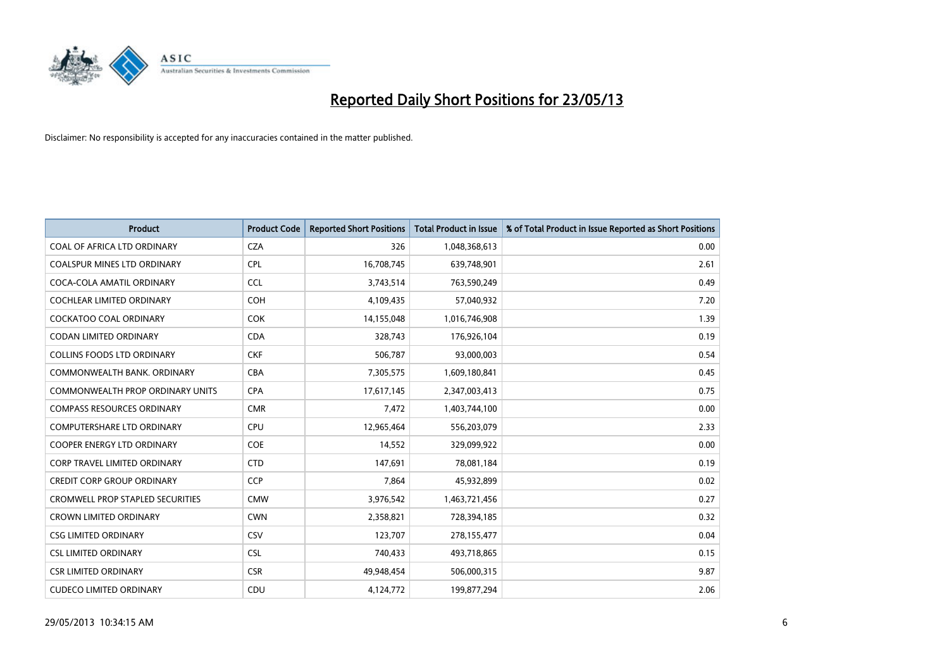

| <b>Product</b>                          | <b>Product Code</b> | <b>Reported Short Positions</b> | <b>Total Product in Issue</b> | % of Total Product in Issue Reported as Short Positions |
|-----------------------------------------|---------------------|---------------------------------|-------------------------------|---------------------------------------------------------|
| COAL OF AFRICA LTD ORDINARY             | <b>CZA</b>          | 326                             | 1,048,368,613                 | 0.00                                                    |
| COALSPUR MINES LTD ORDINARY             | <b>CPL</b>          | 16,708,745                      | 639,748,901                   | 2.61                                                    |
| COCA-COLA AMATIL ORDINARY               | <b>CCL</b>          | 3,743,514                       | 763,590,249                   | 0.49                                                    |
| COCHLEAR LIMITED ORDINARY               | <b>COH</b>          | 4,109,435                       | 57,040,932                    | 7.20                                                    |
| <b>COCKATOO COAL ORDINARY</b>           | <b>COK</b>          | 14,155,048                      | 1,016,746,908                 | 1.39                                                    |
| <b>CODAN LIMITED ORDINARY</b>           | <b>CDA</b>          | 328,743                         | 176,926,104                   | 0.19                                                    |
| <b>COLLINS FOODS LTD ORDINARY</b>       | <b>CKF</b>          | 506,787                         | 93,000,003                    | 0.54                                                    |
| COMMONWEALTH BANK, ORDINARY             | <b>CBA</b>          | 7,305,575                       | 1,609,180,841                 | 0.45                                                    |
| <b>COMMONWEALTH PROP ORDINARY UNITS</b> | <b>CPA</b>          | 17,617,145                      | 2,347,003,413                 | 0.75                                                    |
| <b>COMPASS RESOURCES ORDINARY</b>       | <b>CMR</b>          | 7,472                           | 1,403,744,100                 | 0.00                                                    |
| COMPUTERSHARE LTD ORDINARY              | <b>CPU</b>          | 12,965,464                      | 556,203,079                   | 2.33                                                    |
| <b>COOPER ENERGY LTD ORDINARY</b>       | <b>COE</b>          | 14,552                          | 329,099,922                   | 0.00                                                    |
| CORP TRAVEL LIMITED ORDINARY            | <b>CTD</b>          | 147,691                         | 78,081,184                    | 0.19                                                    |
| <b>CREDIT CORP GROUP ORDINARY</b>       | <b>CCP</b>          | 7,864                           | 45,932,899                    | 0.02                                                    |
| <b>CROMWELL PROP STAPLED SECURITIES</b> | <b>CMW</b>          | 3,976,542                       | 1,463,721,456                 | 0.27                                                    |
| <b>CROWN LIMITED ORDINARY</b>           | <b>CWN</b>          | 2,358,821                       | 728,394,185                   | 0.32                                                    |
| <b>CSG LIMITED ORDINARY</b>             | CSV                 | 123,707                         | 278,155,477                   | 0.04                                                    |
| <b>CSL LIMITED ORDINARY</b>             | <b>CSL</b>          | 740,433                         | 493,718,865                   | 0.15                                                    |
| <b>CSR LIMITED ORDINARY</b>             | <b>CSR</b>          | 49,948,454                      | 506,000,315                   | 9.87                                                    |
| <b>CUDECO LIMITED ORDINARY</b>          | CDU                 | 4,124,772                       | 199,877,294                   | 2.06                                                    |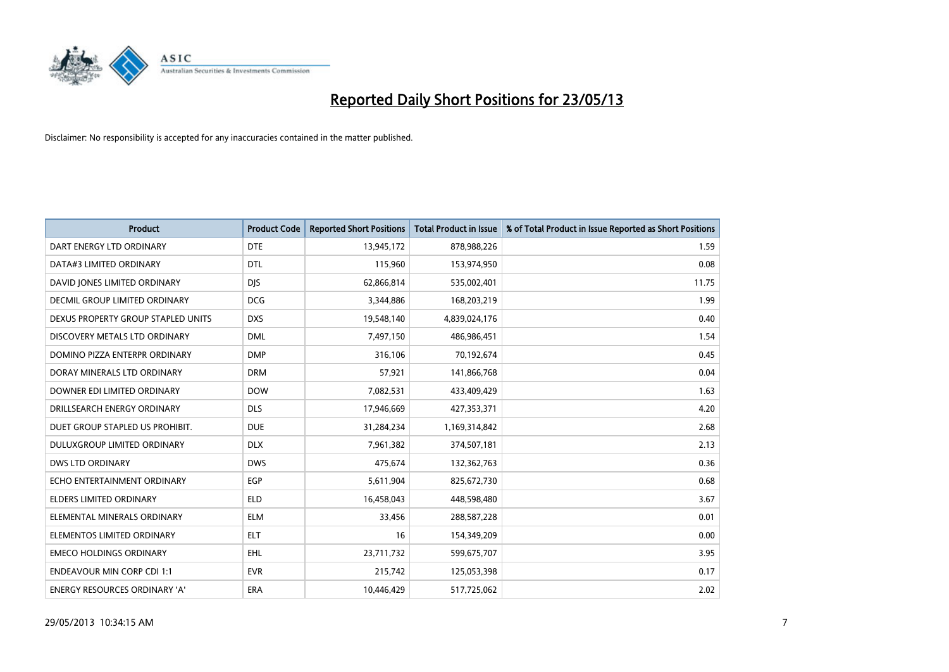

| <b>Product</b>                       | <b>Product Code</b> | <b>Reported Short Positions</b> | <b>Total Product in Issue</b> | % of Total Product in Issue Reported as Short Positions |
|--------------------------------------|---------------------|---------------------------------|-------------------------------|---------------------------------------------------------|
| DART ENERGY LTD ORDINARY             | <b>DTE</b>          | 13,945,172                      | 878,988,226                   | 1.59                                                    |
| DATA#3 LIMITED ORDINARY              | <b>DTL</b>          | 115,960                         | 153,974,950                   | 0.08                                                    |
| DAVID JONES LIMITED ORDINARY         | <b>DIS</b>          | 62,866,814                      | 535,002,401                   | 11.75                                                   |
| <b>DECMIL GROUP LIMITED ORDINARY</b> | <b>DCG</b>          | 3,344,886                       | 168,203,219                   | 1.99                                                    |
| DEXUS PROPERTY GROUP STAPLED UNITS   | <b>DXS</b>          | 19,548,140                      | 4,839,024,176                 | 0.40                                                    |
| DISCOVERY METALS LTD ORDINARY        | <b>DML</b>          | 7,497,150                       | 486,986,451                   | 1.54                                                    |
| DOMINO PIZZA ENTERPR ORDINARY        | <b>DMP</b>          | 316,106                         | 70,192,674                    | 0.45                                                    |
| DORAY MINERALS LTD ORDINARY          | <b>DRM</b>          | 57,921                          | 141,866,768                   | 0.04                                                    |
| DOWNER EDI LIMITED ORDINARY          | <b>DOW</b>          | 7,082,531                       | 433,409,429                   | 1.63                                                    |
| DRILLSEARCH ENERGY ORDINARY          | <b>DLS</b>          | 17,946,669                      | 427,353,371                   | 4.20                                                    |
| DUET GROUP STAPLED US PROHIBIT.      | <b>DUE</b>          | 31,284,234                      | 1,169,314,842                 | 2.68                                                    |
| DULUXGROUP LIMITED ORDINARY          | <b>DLX</b>          | 7,961,382                       | 374,507,181                   | 2.13                                                    |
| <b>DWS LTD ORDINARY</b>              | <b>DWS</b>          | 475,674                         | 132,362,763                   | 0.36                                                    |
| ECHO ENTERTAINMENT ORDINARY          | <b>EGP</b>          | 5,611,904                       | 825,672,730                   | 0.68                                                    |
| <b>ELDERS LIMITED ORDINARY</b>       | <b>ELD</b>          | 16,458,043                      | 448,598,480                   | 3.67                                                    |
| ELEMENTAL MINERALS ORDINARY          | <b>ELM</b>          | 33,456                          | 288,587,228                   | 0.01                                                    |
| ELEMENTOS LIMITED ORDINARY           | <b>ELT</b>          | 16                              | 154,349,209                   | 0.00                                                    |
| <b>EMECO HOLDINGS ORDINARY</b>       | <b>EHL</b>          | 23,711,732                      | 599,675,707                   | 3.95                                                    |
| <b>ENDEAVOUR MIN CORP CDI 1:1</b>    | <b>EVR</b>          | 215,742                         | 125,053,398                   | 0.17                                                    |
| ENERGY RESOURCES ORDINARY 'A'        | ERA                 | 10,446,429                      | 517,725,062                   | 2.02                                                    |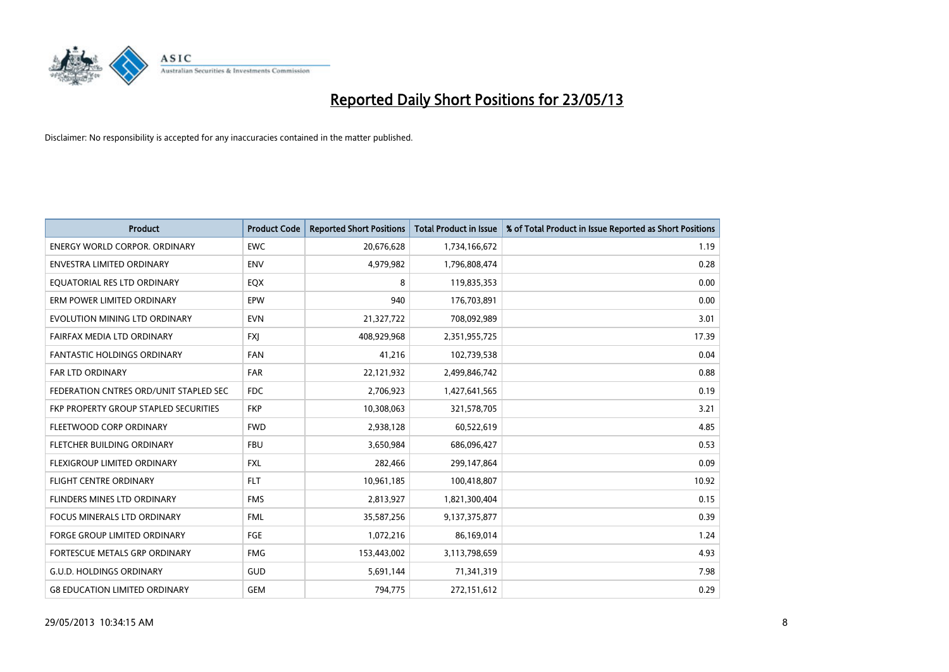

| <b>Product</b>                               | <b>Product Code</b> | <b>Reported Short Positions</b> | <b>Total Product in Issue</b> | % of Total Product in Issue Reported as Short Positions |
|----------------------------------------------|---------------------|---------------------------------|-------------------------------|---------------------------------------------------------|
| <b>ENERGY WORLD CORPOR, ORDINARY</b>         | <b>EWC</b>          | 20,676,628                      | 1,734,166,672                 | 1.19                                                    |
| ENVESTRA LIMITED ORDINARY                    | <b>ENV</b>          | 4,979,982                       | 1,796,808,474                 | 0.28                                                    |
| EQUATORIAL RES LTD ORDINARY                  | EQX                 | 8                               | 119,835,353                   | 0.00                                                    |
| ERM POWER LIMITED ORDINARY                   | EPW                 | 940                             | 176,703,891                   | 0.00                                                    |
| EVOLUTION MINING LTD ORDINARY                | <b>EVN</b>          | 21,327,722                      | 708,092,989                   | 3.01                                                    |
| FAIRFAX MEDIA LTD ORDINARY                   | <b>FXJ</b>          | 408,929,968                     | 2,351,955,725                 | 17.39                                                   |
| <b>FANTASTIC HOLDINGS ORDINARY</b>           | <b>FAN</b>          | 41,216                          | 102,739,538                   | 0.04                                                    |
| FAR LTD ORDINARY                             | <b>FAR</b>          | 22,121,932                      | 2,499,846,742                 | 0.88                                                    |
| FEDERATION CNTRES ORD/UNIT STAPLED SEC       | <b>FDC</b>          | 2,706,923                       | 1,427,641,565                 | 0.19                                                    |
| <b>FKP PROPERTY GROUP STAPLED SECURITIES</b> | <b>FKP</b>          | 10,308,063                      | 321,578,705                   | 3.21                                                    |
| FLEETWOOD CORP ORDINARY                      | <b>FWD</b>          | 2,938,128                       | 60,522,619                    | 4.85                                                    |
| FLETCHER BUILDING ORDINARY                   | <b>FBU</b>          | 3,650,984                       | 686,096,427                   | 0.53                                                    |
| FLEXIGROUP LIMITED ORDINARY                  | <b>FXL</b>          | 282,466                         | 299,147,864                   | 0.09                                                    |
| <b>FLIGHT CENTRE ORDINARY</b>                | <b>FLT</b>          | 10,961,185                      | 100,418,807                   | 10.92                                                   |
| FLINDERS MINES LTD ORDINARY                  | <b>FMS</b>          | 2,813,927                       | 1,821,300,404                 | 0.15                                                    |
| FOCUS MINERALS LTD ORDINARY                  | <b>FML</b>          | 35,587,256                      | 9,137,375,877                 | 0.39                                                    |
| <b>FORGE GROUP LIMITED ORDINARY</b>          | FGE                 | 1,072,216                       | 86,169,014                    | 1.24                                                    |
| FORTESCUE METALS GRP ORDINARY                | <b>FMG</b>          | 153,443,002                     | 3,113,798,659                 | 4.93                                                    |
| <b>G.U.D. HOLDINGS ORDINARY</b>              | <b>GUD</b>          | 5,691,144                       | 71,341,319                    | 7.98                                                    |
| <b>G8 EDUCATION LIMITED ORDINARY</b>         | GEM                 | 794,775                         | 272,151,612                   | 0.29                                                    |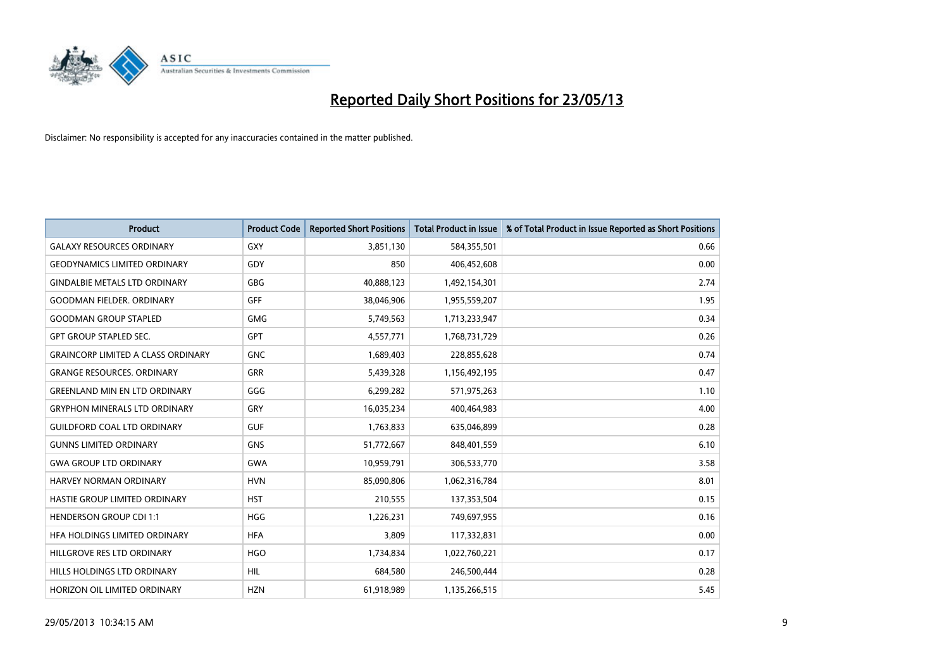

| <b>Product</b>                            | <b>Product Code</b> | <b>Reported Short Positions</b> | <b>Total Product in Issue</b> | % of Total Product in Issue Reported as Short Positions |
|-------------------------------------------|---------------------|---------------------------------|-------------------------------|---------------------------------------------------------|
| <b>GALAXY RESOURCES ORDINARY</b>          | <b>GXY</b>          | 3,851,130                       | 584,355,501                   | 0.66                                                    |
| <b>GEODYNAMICS LIMITED ORDINARY</b>       | GDY                 | 850                             | 406,452,608                   | 0.00                                                    |
| <b>GINDALBIE METALS LTD ORDINARY</b>      | <b>GBG</b>          | 40,888,123                      | 1,492,154,301                 | 2.74                                                    |
| <b>GOODMAN FIELDER. ORDINARY</b>          | <b>GFF</b>          | 38,046,906                      | 1,955,559,207                 | 1.95                                                    |
| <b>GOODMAN GROUP STAPLED</b>              | <b>GMG</b>          | 5,749,563                       | 1,713,233,947                 | 0.34                                                    |
| <b>GPT GROUP STAPLED SEC.</b>             | <b>GPT</b>          | 4,557,771                       | 1,768,731,729                 | 0.26                                                    |
| <b>GRAINCORP LIMITED A CLASS ORDINARY</b> | <b>GNC</b>          | 1,689,403                       | 228,855,628                   | 0.74                                                    |
| <b>GRANGE RESOURCES, ORDINARY</b>         | <b>GRR</b>          | 5,439,328                       | 1,156,492,195                 | 0.47                                                    |
| <b>GREENLAND MIN EN LTD ORDINARY</b>      | GGG                 | 6,299,282                       | 571,975,263                   | 1.10                                                    |
| <b>GRYPHON MINERALS LTD ORDINARY</b>      | GRY                 | 16,035,234                      | 400,464,983                   | 4.00                                                    |
| <b>GUILDFORD COAL LTD ORDINARY</b>        | <b>GUF</b>          | 1,763,833                       | 635,046,899                   | 0.28                                                    |
| <b>GUNNS LIMITED ORDINARY</b>             | <b>GNS</b>          | 51,772,667                      | 848,401,559                   | 6.10                                                    |
| <b>GWA GROUP LTD ORDINARY</b>             | <b>GWA</b>          | 10,959,791                      | 306,533,770                   | 3.58                                                    |
| <b>HARVEY NORMAN ORDINARY</b>             | <b>HVN</b>          | 85,090,806                      | 1,062,316,784                 | 8.01                                                    |
| HASTIE GROUP LIMITED ORDINARY             | <b>HST</b>          | 210,555                         | 137,353,504                   | 0.15                                                    |
| HENDERSON GROUP CDI 1:1                   | <b>HGG</b>          | 1,226,231                       | 749,697,955                   | 0.16                                                    |
| HFA HOLDINGS LIMITED ORDINARY             | <b>HFA</b>          | 3,809                           | 117,332,831                   | 0.00                                                    |
| HILLGROVE RES LTD ORDINARY                | <b>HGO</b>          | 1,734,834                       | 1,022,760,221                 | 0.17                                                    |
| HILLS HOLDINGS LTD ORDINARY               | <b>HIL</b>          | 684,580                         | 246,500,444                   | 0.28                                                    |
| HORIZON OIL LIMITED ORDINARY              | <b>HZN</b>          | 61,918,989                      | 1,135,266,515                 | 5.45                                                    |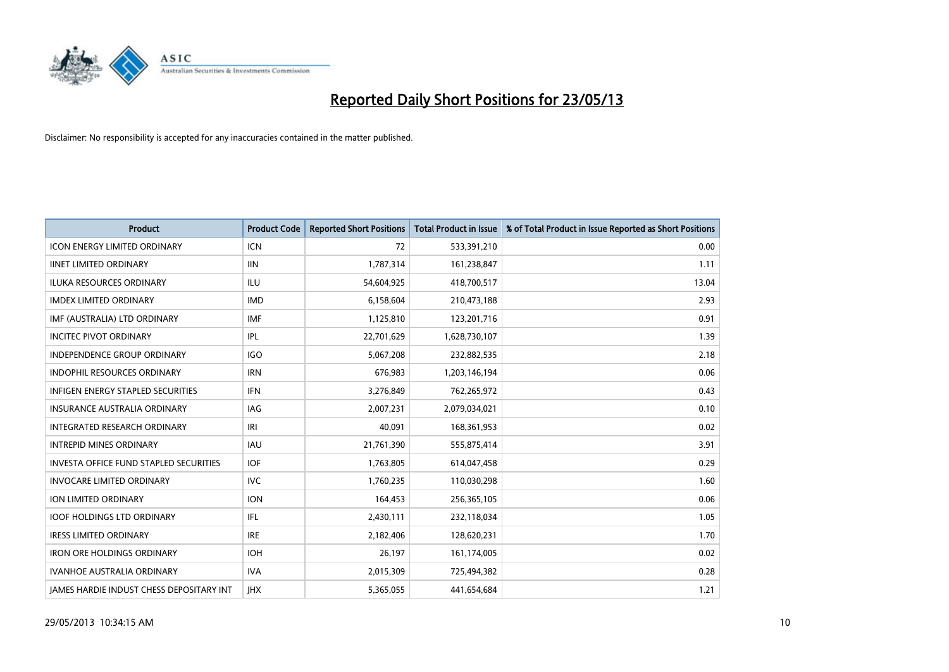

| <b>Product</b>                                | <b>Product Code</b> | <b>Reported Short Positions</b> | <b>Total Product in Issue</b> | % of Total Product in Issue Reported as Short Positions |
|-----------------------------------------------|---------------------|---------------------------------|-------------------------------|---------------------------------------------------------|
| <b>ICON ENERGY LIMITED ORDINARY</b>           | <b>ICN</b>          | 72                              | 533,391,210                   | 0.00                                                    |
| <b>IINET LIMITED ORDINARY</b>                 | <b>IIN</b>          | 1,787,314                       | 161,238,847                   | 1.11                                                    |
| <b>ILUKA RESOURCES ORDINARY</b>               | ILU                 | 54,604,925                      | 418,700,517                   | 13.04                                                   |
| <b>IMDEX LIMITED ORDINARY</b>                 | <b>IMD</b>          | 6,158,604                       | 210,473,188                   | 2.93                                                    |
| IMF (AUSTRALIA) LTD ORDINARY                  | <b>IMF</b>          | 1,125,810                       | 123,201,716                   | 0.91                                                    |
| <b>INCITEC PIVOT ORDINARY</b>                 | IPL                 | 22,701,629                      | 1,628,730,107                 | 1.39                                                    |
| <b>INDEPENDENCE GROUP ORDINARY</b>            | <b>IGO</b>          | 5,067,208                       | 232,882,535                   | 2.18                                                    |
| INDOPHIL RESOURCES ORDINARY                   | <b>IRN</b>          | 676,983                         | 1,203,146,194                 | 0.06                                                    |
| INFIGEN ENERGY STAPLED SECURITIES             | <b>IFN</b>          | 3,276,849                       | 762,265,972                   | 0.43                                                    |
| <b>INSURANCE AUSTRALIA ORDINARY</b>           | <b>IAG</b>          | 2,007,231                       | 2,079,034,021                 | 0.10                                                    |
| <b>INTEGRATED RESEARCH ORDINARY</b>           | IRI                 | 40,091                          | 168,361,953                   | 0.02                                                    |
| <b>INTREPID MINES ORDINARY</b>                | <b>IAU</b>          | 21,761,390                      | 555,875,414                   | 3.91                                                    |
| <b>INVESTA OFFICE FUND STAPLED SECURITIES</b> | <b>IOF</b>          | 1,763,805                       | 614,047,458                   | 0.29                                                    |
| <b>INVOCARE LIMITED ORDINARY</b>              | <b>IVC</b>          | 1,760,235                       | 110,030,298                   | 1.60                                                    |
| <b>ION LIMITED ORDINARY</b>                   | <b>ION</b>          | 164,453                         | 256,365,105                   | 0.06                                                    |
| <b>IOOF HOLDINGS LTD ORDINARY</b>             | <b>IFL</b>          | 2,430,111                       | 232,118,034                   | 1.05                                                    |
| <b>IRESS LIMITED ORDINARY</b>                 | <b>IRE</b>          | 2,182,406                       | 128,620,231                   | 1.70                                                    |
| <b>IRON ORE HOLDINGS ORDINARY</b>             | <b>IOH</b>          | 26,197                          | 161,174,005                   | 0.02                                                    |
| <b>IVANHOE AUSTRALIA ORDINARY</b>             | <b>IVA</b>          | 2,015,309                       | 725,494,382                   | 0.28                                                    |
| JAMES HARDIE INDUST CHESS DEPOSITARY INT      | <b>IHX</b>          | 5,365,055                       | 441,654,684                   | 1.21                                                    |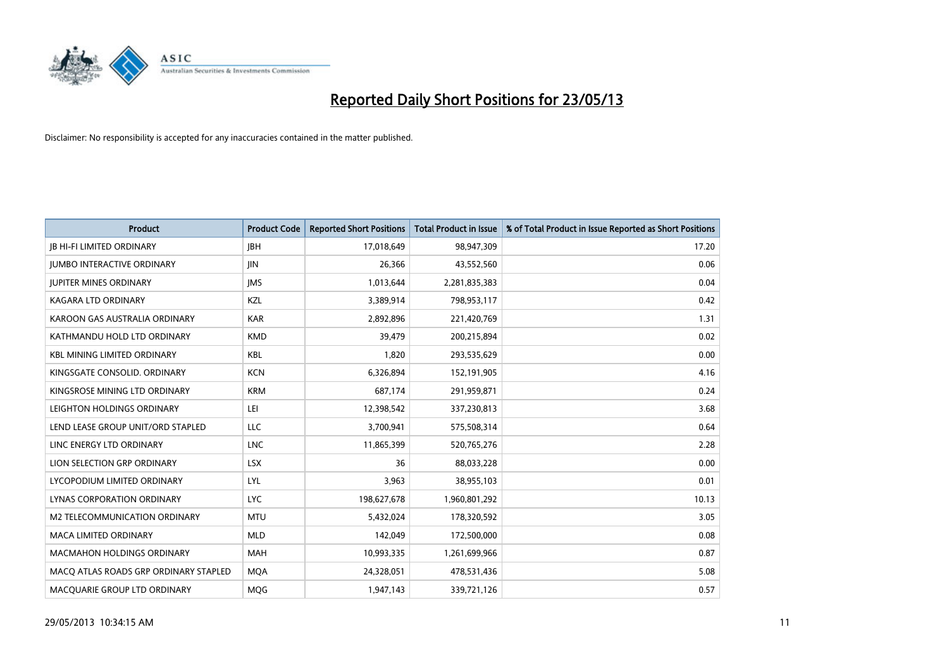

| <b>Product</b>                        | <b>Product Code</b> | <b>Reported Short Positions</b> | <b>Total Product in Issue</b> | % of Total Product in Issue Reported as Short Positions |
|---------------------------------------|---------------------|---------------------------------|-------------------------------|---------------------------------------------------------|
| <b>JB HI-FI LIMITED ORDINARY</b>      | <b>IBH</b>          | 17,018,649                      | 98,947,309                    | 17.20                                                   |
| <b>JUMBO INTERACTIVE ORDINARY</b>     | <b>JIN</b>          | 26,366                          | 43,552,560                    | 0.06                                                    |
| <b>JUPITER MINES ORDINARY</b>         | <b>IMS</b>          | 1,013,644                       | 2,281,835,383                 | 0.04                                                    |
| KAGARA LTD ORDINARY                   | KZL                 | 3,389,914                       | 798,953,117                   | 0.42                                                    |
| KAROON GAS AUSTRALIA ORDINARY         | <b>KAR</b>          | 2,892,896                       | 221,420,769                   | 1.31                                                    |
| KATHMANDU HOLD LTD ORDINARY           | <b>KMD</b>          | 39.479                          | 200,215,894                   | 0.02                                                    |
| <b>KBL MINING LIMITED ORDINARY</b>    | <b>KBL</b>          | 1,820                           | 293,535,629                   | 0.00                                                    |
| KINGSGATE CONSOLID. ORDINARY          | <b>KCN</b>          | 6,326,894                       | 152,191,905                   | 4.16                                                    |
| KINGSROSE MINING LTD ORDINARY         | <b>KRM</b>          | 687,174                         | 291,959,871                   | 0.24                                                    |
| LEIGHTON HOLDINGS ORDINARY            | LEI                 | 12,398,542                      | 337,230,813                   | 3.68                                                    |
| LEND LEASE GROUP UNIT/ORD STAPLED     | LLC                 | 3,700,941                       | 575,508,314                   | 0.64                                                    |
| LINC ENERGY LTD ORDINARY              | <b>LNC</b>          | 11,865,399                      | 520,765,276                   | 2.28                                                    |
| LION SELECTION GRP ORDINARY           | <b>LSX</b>          | 36                              | 88,033,228                    | 0.00                                                    |
| LYCOPODIUM LIMITED ORDINARY           | LYL                 | 3,963                           | 38,955,103                    | 0.01                                                    |
| <b>LYNAS CORPORATION ORDINARY</b>     | <b>LYC</b>          | 198,627,678                     | 1,960,801,292                 | 10.13                                                   |
| M2 TELECOMMUNICATION ORDINARY         | <b>MTU</b>          | 5,432,024                       | 178,320,592                   | 3.05                                                    |
| MACA LIMITED ORDINARY                 | <b>MLD</b>          | 142,049                         | 172,500,000                   | 0.08                                                    |
| <b>MACMAHON HOLDINGS ORDINARY</b>     | <b>MAH</b>          | 10,993,335                      | 1,261,699,966                 | 0.87                                                    |
| MACQ ATLAS ROADS GRP ORDINARY STAPLED | <b>MQA</b>          | 24,328,051                      | 478,531,436                   | 5.08                                                    |
| MACQUARIE GROUP LTD ORDINARY          | <b>MOG</b>          | 1,947,143                       | 339,721,126                   | 0.57                                                    |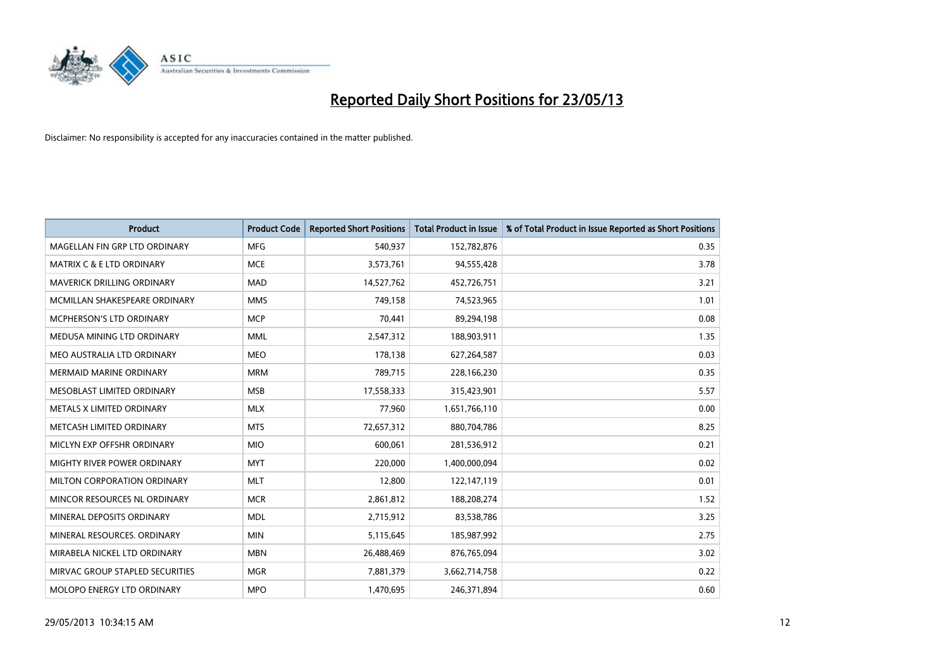

| <b>Product</b>                    | <b>Product Code</b> | <b>Reported Short Positions</b> | <b>Total Product in Issue</b> | % of Total Product in Issue Reported as Short Positions |
|-----------------------------------|---------------------|---------------------------------|-------------------------------|---------------------------------------------------------|
| MAGELLAN FIN GRP LTD ORDINARY     | <b>MFG</b>          | 540.937                         | 152,782,876                   | 0.35                                                    |
| MATRIX C & E LTD ORDINARY         | <b>MCE</b>          | 3,573,761                       | 94,555,428                    | 3.78                                                    |
| <b>MAVERICK DRILLING ORDINARY</b> | <b>MAD</b>          | 14,527,762                      | 452,726,751                   | 3.21                                                    |
| MCMILLAN SHAKESPEARE ORDINARY     | <b>MMS</b>          | 749,158                         | 74,523,965                    | 1.01                                                    |
| <b>MCPHERSON'S LTD ORDINARY</b>   | <b>MCP</b>          | 70,441                          | 89,294,198                    | 0.08                                                    |
| MEDUSA MINING LTD ORDINARY        | <b>MML</b>          | 2,547,312                       | 188,903,911                   | 1.35                                                    |
| MEO AUSTRALIA LTD ORDINARY        | <b>MEO</b>          | 178,138                         | 627,264,587                   | 0.03                                                    |
| <b>MERMAID MARINE ORDINARY</b>    | <b>MRM</b>          | 789,715                         | 228,166,230                   | 0.35                                                    |
| MESOBLAST LIMITED ORDINARY        | <b>MSB</b>          | 17,558,333                      | 315,423,901                   | 5.57                                                    |
| METALS X LIMITED ORDINARY         | <b>MLX</b>          | 77,960                          | 1,651,766,110                 | 0.00                                                    |
| METCASH LIMITED ORDINARY          | <b>MTS</b>          | 72,657,312                      | 880,704,786                   | 8.25                                                    |
| MICLYN EXP OFFSHR ORDINARY        | <b>MIO</b>          | 600,061                         | 281,536,912                   | 0.21                                                    |
| MIGHTY RIVER POWER ORDINARY       | <b>MYT</b>          | 220,000                         | 1,400,000,094                 | 0.02                                                    |
| MILTON CORPORATION ORDINARY       | <b>MLT</b>          | 12,800                          | 122,147,119                   | 0.01                                                    |
| MINCOR RESOURCES NL ORDINARY      | <b>MCR</b>          | 2,861,812                       | 188,208,274                   | 1.52                                                    |
| MINERAL DEPOSITS ORDINARY         | <b>MDL</b>          | 2,715,912                       | 83,538,786                    | 3.25                                                    |
| MINERAL RESOURCES. ORDINARY       | <b>MIN</b>          | 5,115,645                       | 185,987,992                   | 2.75                                                    |
| MIRABELA NICKEL LTD ORDINARY      | <b>MBN</b>          | 26,488,469                      | 876,765,094                   | 3.02                                                    |
| MIRVAC GROUP STAPLED SECURITIES   | <b>MGR</b>          | 7,881,379                       | 3,662,714,758                 | 0.22                                                    |
| MOLOPO ENERGY LTD ORDINARY        | <b>MPO</b>          | 1,470,695                       | 246,371,894                   | 0.60                                                    |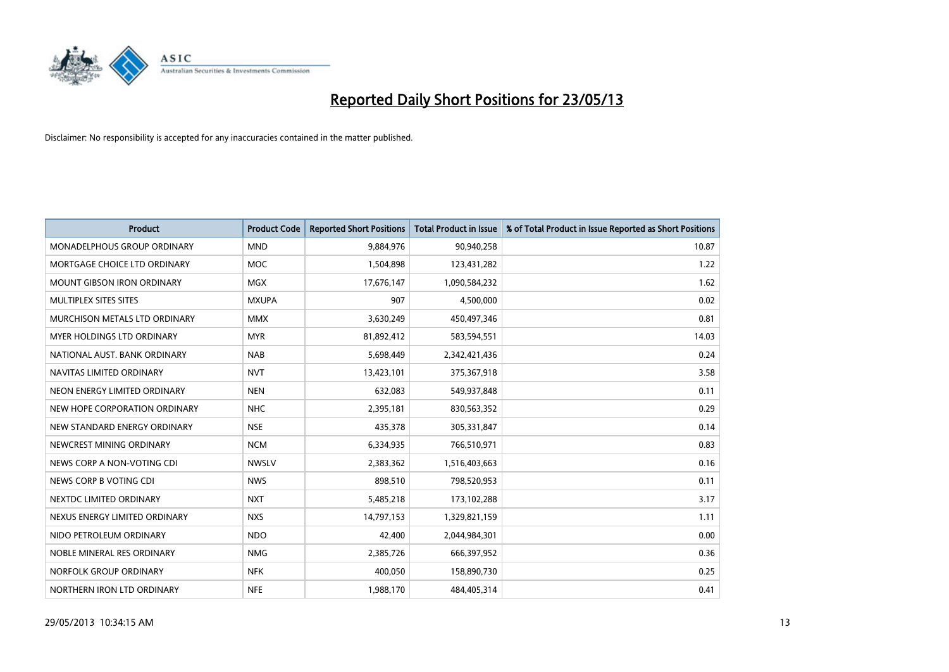

| <b>Product</b>                       | <b>Product Code</b> | <b>Reported Short Positions</b> | <b>Total Product in Issue</b> | % of Total Product in Issue Reported as Short Positions |
|--------------------------------------|---------------------|---------------------------------|-------------------------------|---------------------------------------------------------|
| MONADELPHOUS GROUP ORDINARY          | <b>MND</b>          | 9,884,976                       | 90,940,258                    | 10.87                                                   |
| MORTGAGE CHOICE LTD ORDINARY         | <b>MOC</b>          | 1,504,898                       | 123,431,282                   | 1.22                                                    |
| <b>MOUNT GIBSON IRON ORDINARY</b>    | <b>MGX</b>          | 17,676,147                      | 1,090,584,232                 | 1.62                                                    |
| MULTIPLEX SITES SITES                | <b>MXUPA</b>        | 907                             | 4,500,000                     | 0.02                                                    |
| <b>MURCHISON METALS LTD ORDINARY</b> | <b>MMX</b>          | 3,630,249                       | 450,497,346                   | 0.81                                                    |
| <b>MYER HOLDINGS LTD ORDINARY</b>    | <b>MYR</b>          | 81,892,412                      | 583,594,551                   | 14.03                                                   |
| NATIONAL AUST. BANK ORDINARY         | <b>NAB</b>          | 5,698,449                       | 2,342,421,436                 | 0.24                                                    |
| NAVITAS LIMITED ORDINARY             | <b>NVT</b>          | 13,423,101                      | 375,367,918                   | 3.58                                                    |
| NEON ENERGY LIMITED ORDINARY         | <b>NEN</b>          | 632,083                         | 549,937,848                   | 0.11                                                    |
| NEW HOPE CORPORATION ORDINARY        | <b>NHC</b>          | 2,395,181                       | 830,563,352                   | 0.29                                                    |
| NEW STANDARD ENERGY ORDINARY         | <b>NSE</b>          | 435,378                         | 305,331,847                   | 0.14                                                    |
| NEWCREST MINING ORDINARY             | <b>NCM</b>          | 6,334,935                       | 766,510,971                   | 0.83                                                    |
| NEWS CORP A NON-VOTING CDI           | <b>NWSLV</b>        | 2,383,362                       | 1,516,403,663                 | 0.16                                                    |
| NEWS CORP B VOTING CDI               | <b>NWS</b>          | 898,510                         | 798,520,953                   | 0.11                                                    |
| NEXTDC LIMITED ORDINARY              | <b>NXT</b>          | 5,485,218                       | 173,102,288                   | 3.17                                                    |
| NEXUS ENERGY LIMITED ORDINARY        | <b>NXS</b>          | 14,797,153                      | 1,329,821,159                 | 1.11                                                    |
| NIDO PETROLEUM ORDINARY              | <b>NDO</b>          | 42,400                          | 2,044,984,301                 | 0.00                                                    |
| NOBLE MINERAL RES ORDINARY           | <b>NMG</b>          | 2,385,726                       | 666,397,952                   | 0.36                                                    |
| NORFOLK GROUP ORDINARY               | <b>NFK</b>          | 400,050                         | 158,890,730                   | 0.25                                                    |
| NORTHERN IRON LTD ORDINARY           | <b>NFE</b>          | 1,988,170                       | 484,405,314                   | 0.41                                                    |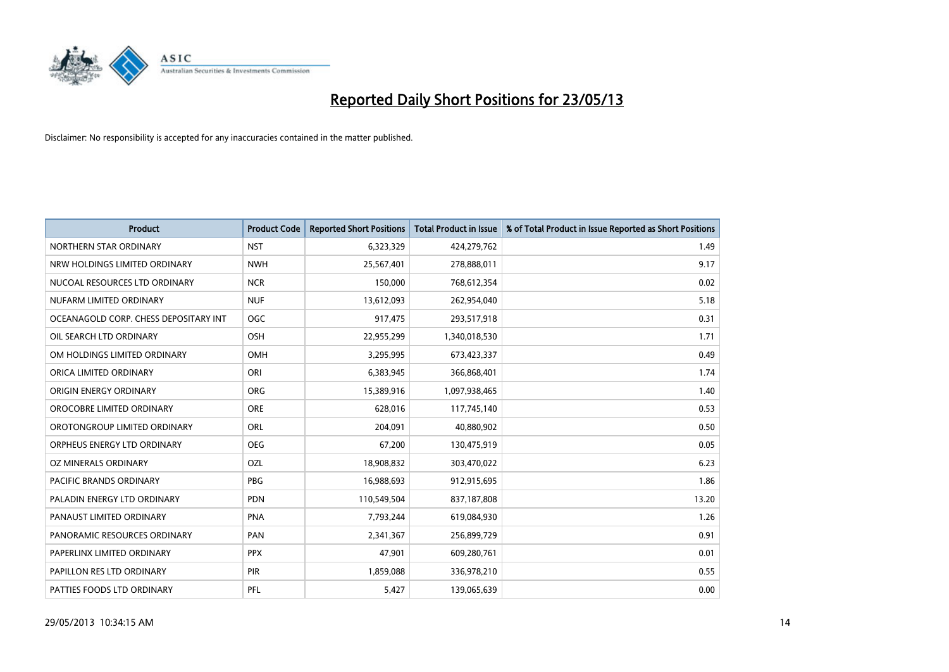

| <b>Product</b>                        | <b>Product Code</b> | <b>Reported Short Positions</b> | <b>Total Product in Issue</b> | % of Total Product in Issue Reported as Short Positions |
|---------------------------------------|---------------------|---------------------------------|-------------------------------|---------------------------------------------------------|
| NORTHERN STAR ORDINARY                | <b>NST</b>          | 6,323,329                       | 424,279,762                   | 1.49                                                    |
| NRW HOLDINGS LIMITED ORDINARY         | <b>NWH</b>          | 25,567,401                      | 278,888,011                   | 9.17                                                    |
| NUCOAL RESOURCES LTD ORDINARY         | <b>NCR</b>          | 150,000                         | 768,612,354                   | 0.02                                                    |
| NUFARM LIMITED ORDINARY               | <b>NUF</b>          | 13,612,093                      | 262,954,040                   | 5.18                                                    |
| OCEANAGOLD CORP. CHESS DEPOSITARY INT | <b>OGC</b>          | 917,475                         | 293,517,918                   | 0.31                                                    |
| OIL SEARCH LTD ORDINARY               | OSH                 | 22,955,299                      | 1,340,018,530                 | 1.71                                                    |
| OM HOLDINGS LIMITED ORDINARY          | OMH                 | 3,295,995                       | 673,423,337                   | 0.49                                                    |
| ORICA LIMITED ORDINARY                | ORI                 | 6,383,945                       | 366,868,401                   | 1.74                                                    |
| ORIGIN ENERGY ORDINARY                | <b>ORG</b>          | 15,389,916                      | 1,097,938,465                 | 1.40                                                    |
| OROCOBRE LIMITED ORDINARY             | <b>ORE</b>          | 628,016                         | 117,745,140                   | 0.53                                                    |
| OROTONGROUP LIMITED ORDINARY          | <b>ORL</b>          | 204,091                         | 40,880,902                    | 0.50                                                    |
| ORPHEUS ENERGY LTD ORDINARY           | <b>OEG</b>          | 67,200                          | 130,475,919                   | 0.05                                                    |
| OZ MINERALS ORDINARY                  | OZL                 | 18,908,832                      | 303,470,022                   | 6.23                                                    |
| <b>PACIFIC BRANDS ORDINARY</b>        | <b>PBG</b>          | 16,988,693                      | 912,915,695                   | 1.86                                                    |
| PALADIN ENERGY LTD ORDINARY           | <b>PDN</b>          | 110,549,504                     | 837,187,808                   | 13.20                                                   |
| PANAUST LIMITED ORDINARY              | <b>PNA</b>          | 7,793,244                       | 619,084,930                   | 1.26                                                    |
| PANORAMIC RESOURCES ORDINARY          | PAN                 | 2,341,367                       | 256,899,729                   | 0.91                                                    |
| PAPERLINX LIMITED ORDINARY            | <b>PPX</b>          | 47,901                          | 609,280,761                   | 0.01                                                    |
| PAPILLON RES LTD ORDINARY             | <b>PIR</b>          | 1,859,088                       | 336,978,210                   | 0.55                                                    |
| PATTIES FOODS LTD ORDINARY            | PFL                 | 5,427                           | 139,065,639                   | 0.00                                                    |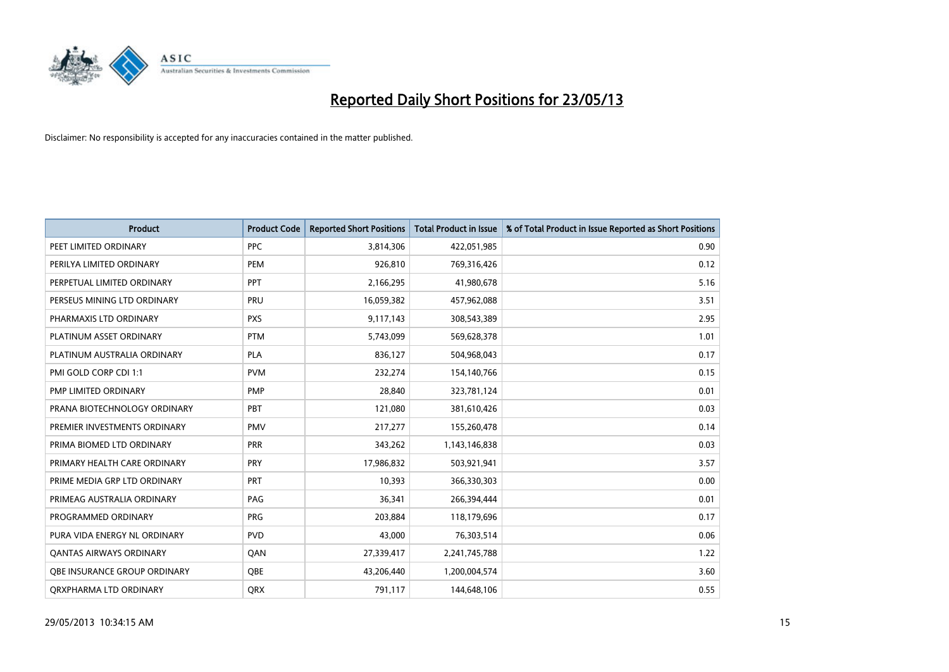

| <b>Product</b>                 | <b>Product Code</b> | <b>Reported Short Positions</b> | <b>Total Product in Issue</b> | % of Total Product in Issue Reported as Short Positions |
|--------------------------------|---------------------|---------------------------------|-------------------------------|---------------------------------------------------------|
| PEET LIMITED ORDINARY          | <b>PPC</b>          | 3,814,306                       | 422,051,985                   | 0.90                                                    |
| PERILYA LIMITED ORDINARY       | PEM                 | 926,810                         | 769,316,426                   | 0.12                                                    |
| PERPETUAL LIMITED ORDINARY     | <b>PPT</b>          | 2,166,295                       | 41,980,678                    | 5.16                                                    |
| PERSEUS MINING LTD ORDINARY    | PRU                 | 16,059,382                      | 457,962,088                   | 3.51                                                    |
| PHARMAXIS LTD ORDINARY         | <b>PXS</b>          | 9,117,143                       | 308,543,389                   | 2.95                                                    |
| PLATINUM ASSET ORDINARY        | <b>PTM</b>          | 5,743,099                       | 569,628,378                   | 1.01                                                    |
| PLATINUM AUSTRALIA ORDINARY    | <b>PLA</b>          | 836,127                         | 504,968,043                   | 0.17                                                    |
| PMI GOLD CORP CDI 1:1          | <b>PVM</b>          | 232,274                         | 154,140,766                   | 0.15                                                    |
| PMP LIMITED ORDINARY           | <b>PMP</b>          | 28,840                          | 323,781,124                   | 0.01                                                    |
| PRANA BIOTECHNOLOGY ORDINARY   | PBT                 | 121,080                         | 381,610,426                   | 0.03                                                    |
| PREMIER INVESTMENTS ORDINARY   | <b>PMV</b>          | 217,277                         | 155,260,478                   | 0.14                                                    |
| PRIMA BIOMED LTD ORDINARY      | PRR                 | 343,262                         | 1,143,146,838                 | 0.03                                                    |
| PRIMARY HEALTH CARE ORDINARY   | <b>PRY</b>          | 17,986,832                      | 503,921,941                   | 3.57                                                    |
| PRIME MEDIA GRP LTD ORDINARY   | <b>PRT</b>          | 10,393                          | 366,330,303                   | 0.00                                                    |
| PRIMEAG AUSTRALIA ORDINARY     | PAG                 | 36,341                          | 266,394,444                   | 0.01                                                    |
| PROGRAMMED ORDINARY            | <b>PRG</b>          | 203,884                         | 118,179,696                   | 0.17                                                    |
| PURA VIDA ENERGY NL ORDINARY   | <b>PVD</b>          | 43,000                          | 76,303,514                    | 0.06                                                    |
| <b>QANTAS AIRWAYS ORDINARY</b> | QAN                 | 27,339,417                      | 2,241,745,788                 | 1.22                                                    |
| OBE INSURANCE GROUP ORDINARY   | <b>OBE</b>          | 43,206,440                      | 1,200,004,574                 | 3.60                                                    |
| ORXPHARMA LTD ORDINARY         | <b>ORX</b>          | 791,117                         | 144,648,106                   | 0.55                                                    |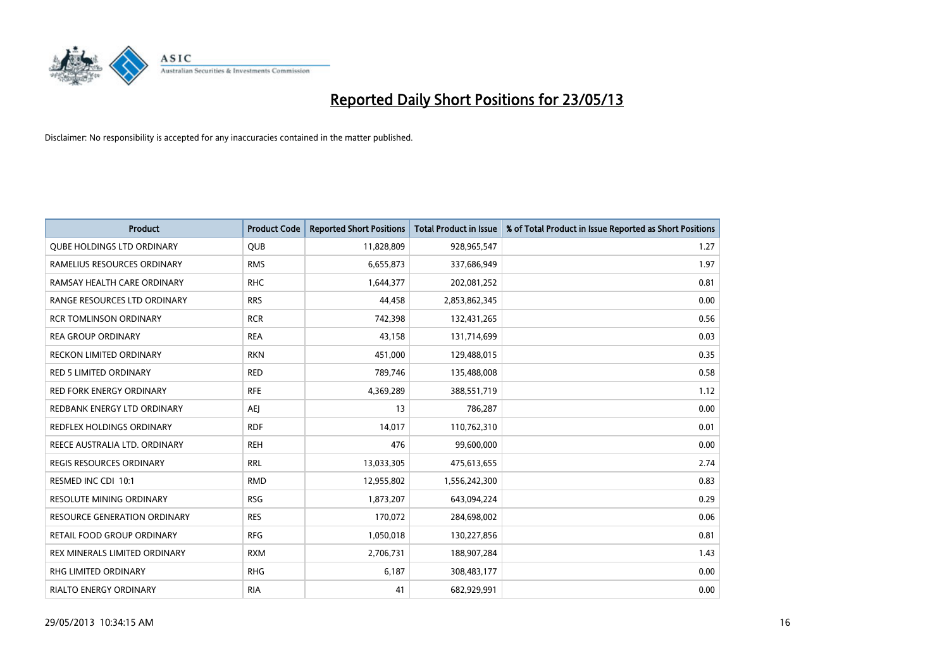

| <b>Product</b>                    | <b>Product Code</b> | <b>Reported Short Positions</b> | <b>Total Product in Issue</b> | % of Total Product in Issue Reported as Short Positions |
|-----------------------------------|---------------------|---------------------------------|-------------------------------|---------------------------------------------------------|
| <b>QUBE HOLDINGS LTD ORDINARY</b> | QUB                 | 11,828,809                      | 928,965,547                   | 1.27                                                    |
| RAMELIUS RESOURCES ORDINARY       | <b>RMS</b>          | 6,655,873                       | 337,686,949                   | 1.97                                                    |
| RAMSAY HEALTH CARE ORDINARY       | <b>RHC</b>          | 1,644,377                       | 202,081,252                   | 0.81                                                    |
| RANGE RESOURCES LTD ORDINARY      | <b>RRS</b>          | 44,458                          | 2,853,862,345                 | 0.00                                                    |
| <b>RCR TOMLINSON ORDINARY</b>     | <b>RCR</b>          | 742,398                         | 132,431,265                   | 0.56                                                    |
| <b>REA GROUP ORDINARY</b>         | <b>REA</b>          | 43,158                          | 131,714,699                   | 0.03                                                    |
| RECKON LIMITED ORDINARY           | <b>RKN</b>          | 451,000                         | 129,488,015                   | 0.35                                                    |
| RED 5 LIMITED ORDINARY            | <b>RED</b>          | 789,746                         | 135,488,008                   | 0.58                                                    |
| <b>RED FORK ENERGY ORDINARY</b>   | <b>RFE</b>          | 4,369,289                       | 388,551,719                   | 1.12                                                    |
| REDBANK ENERGY LTD ORDINARY       | AEJ                 | 13                              | 786,287                       | 0.00                                                    |
| REDFLEX HOLDINGS ORDINARY         | <b>RDF</b>          | 14,017                          | 110,762,310                   | 0.01                                                    |
| REECE AUSTRALIA LTD. ORDINARY     | <b>REH</b>          | 476                             | 99,600,000                    | 0.00                                                    |
| REGIS RESOURCES ORDINARY          | <b>RRL</b>          | 13,033,305                      | 475,613,655                   | 2.74                                                    |
| RESMED INC CDI 10:1               | <b>RMD</b>          | 12,955,802                      | 1,556,242,300                 | 0.83                                                    |
| <b>RESOLUTE MINING ORDINARY</b>   | <b>RSG</b>          | 1,873,207                       | 643,094,224                   | 0.29                                                    |
| RESOURCE GENERATION ORDINARY      | <b>RES</b>          | 170,072                         | 284,698,002                   | 0.06                                                    |
| RETAIL FOOD GROUP ORDINARY        | <b>RFG</b>          | 1,050,018                       | 130,227,856                   | 0.81                                                    |
| REX MINERALS LIMITED ORDINARY     | <b>RXM</b>          | 2,706,731                       | 188,907,284                   | 1.43                                                    |
| RHG LIMITED ORDINARY              | <b>RHG</b>          | 6,187                           | 308,483,177                   | 0.00                                                    |
| RIALTO ENERGY ORDINARY            | <b>RIA</b>          | 41                              | 682,929,991                   | 0.00                                                    |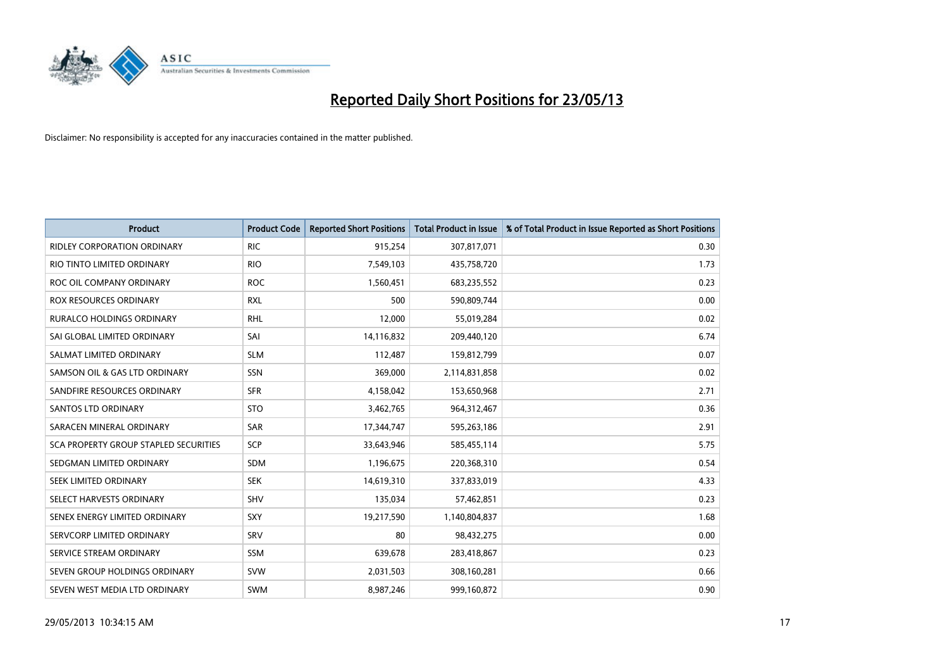

| <b>Product</b>                               | <b>Product Code</b> | <b>Reported Short Positions</b> | <b>Total Product in Issue</b> | % of Total Product in Issue Reported as Short Positions |
|----------------------------------------------|---------------------|---------------------------------|-------------------------------|---------------------------------------------------------|
| <b>RIDLEY CORPORATION ORDINARY</b>           | <b>RIC</b>          | 915,254                         | 307,817,071                   | 0.30                                                    |
| RIO TINTO LIMITED ORDINARY                   | <b>RIO</b>          | 7,549,103                       | 435,758,720                   | 1.73                                                    |
| ROC OIL COMPANY ORDINARY                     | <b>ROC</b>          | 1,560,451                       | 683,235,552                   | 0.23                                                    |
| ROX RESOURCES ORDINARY                       | <b>RXL</b>          | 500                             | 590,809,744                   | 0.00                                                    |
| <b>RURALCO HOLDINGS ORDINARY</b>             | <b>RHL</b>          | 12,000                          | 55,019,284                    | 0.02                                                    |
| SAI GLOBAL LIMITED ORDINARY                  | SAI                 | 14,116,832                      | 209,440,120                   | 6.74                                                    |
| SALMAT LIMITED ORDINARY                      | <b>SLM</b>          | 112,487                         | 159,812,799                   | 0.07                                                    |
| SAMSON OIL & GAS LTD ORDINARY                | SSN                 | 369,000                         | 2,114,831,858                 | 0.02                                                    |
| SANDFIRE RESOURCES ORDINARY                  | <b>SFR</b>          | 4,158,042                       | 153,650,968                   | 2.71                                                    |
| <b>SANTOS LTD ORDINARY</b>                   | <b>STO</b>          | 3,462,765                       | 964,312,467                   | 0.36                                                    |
| SARACEN MINERAL ORDINARY                     | SAR                 | 17,344,747                      | 595,263,186                   | 2.91                                                    |
| <b>SCA PROPERTY GROUP STAPLED SECURITIES</b> | <b>SCP</b>          | 33,643,946                      | 585,455,114                   | 5.75                                                    |
| SEDGMAN LIMITED ORDINARY                     | <b>SDM</b>          | 1,196,675                       | 220,368,310                   | 0.54                                                    |
| <b>SEEK LIMITED ORDINARY</b>                 | <b>SEK</b>          | 14,619,310                      | 337,833,019                   | 4.33                                                    |
| SELECT HARVESTS ORDINARY                     | SHV                 | 135,034                         | 57,462,851                    | 0.23                                                    |
| SENEX ENERGY LIMITED ORDINARY                | SXY                 | 19,217,590                      | 1,140,804,837                 | 1.68                                                    |
| SERVCORP LIMITED ORDINARY                    | SRV                 | 80                              | 98,432,275                    | 0.00                                                    |
| SERVICE STREAM ORDINARY                      | <b>SSM</b>          | 639,678                         | 283,418,867                   | 0.23                                                    |
| SEVEN GROUP HOLDINGS ORDINARY                | <b>SVW</b>          | 2,031,503                       | 308,160,281                   | 0.66                                                    |
| SEVEN WEST MEDIA LTD ORDINARY                | <b>SWM</b>          | 8,987,246                       | 999,160,872                   | 0.90                                                    |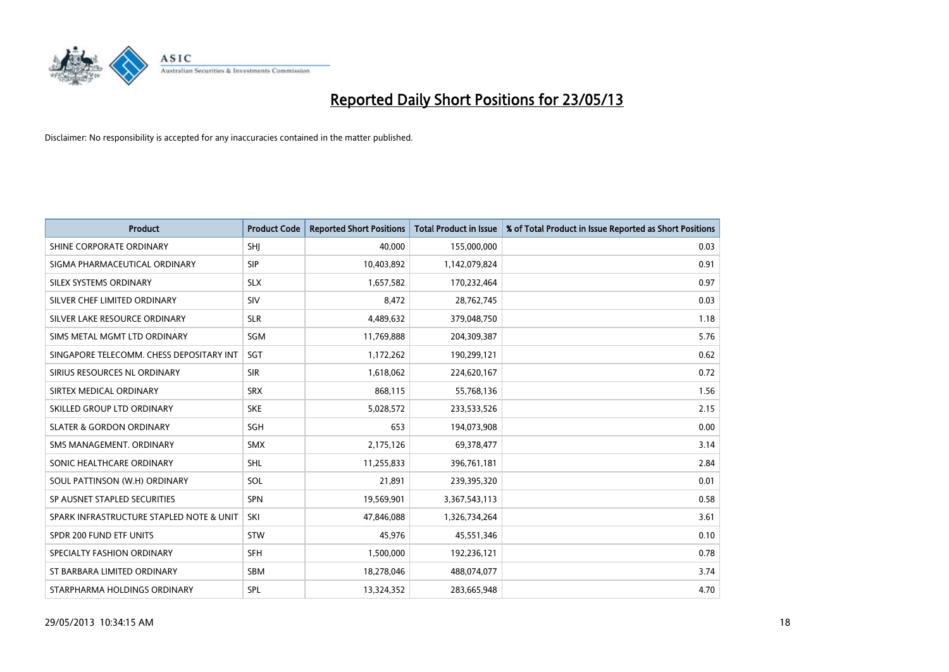

| <b>Product</b>                           | <b>Product Code</b> | <b>Reported Short Positions</b> | <b>Total Product in Issue</b> | % of Total Product in Issue Reported as Short Positions |
|------------------------------------------|---------------------|---------------------------------|-------------------------------|---------------------------------------------------------|
| SHINE CORPORATE ORDINARY                 | SHI                 | 40.000                          | 155,000,000                   | 0.03                                                    |
| SIGMA PHARMACEUTICAL ORDINARY            | <b>SIP</b>          | 10,403,892                      | 1,142,079,824                 | 0.91                                                    |
| <b>SILEX SYSTEMS ORDINARY</b>            | <b>SLX</b>          | 1,657,582                       | 170,232,464                   | 0.97                                                    |
| SILVER CHEF LIMITED ORDINARY             | SIV                 | 8,472                           | 28,762,745                    | 0.03                                                    |
| SILVER LAKE RESOURCE ORDINARY            | <b>SLR</b>          | 4,489,632                       | 379,048,750                   | 1.18                                                    |
| SIMS METAL MGMT LTD ORDINARY             | SGM                 | 11,769,888                      | 204,309,387                   | 5.76                                                    |
| SINGAPORE TELECOMM. CHESS DEPOSITARY INT | <b>SGT</b>          | 1,172,262                       | 190,299,121                   | 0.62                                                    |
| SIRIUS RESOURCES NL ORDINARY             | <b>SIR</b>          | 1,618,062                       | 224,620,167                   | 0.72                                                    |
| SIRTEX MEDICAL ORDINARY                  | <b>SRX</b>          | 868,115                         | 55,768,136                    | 1.56                                                    |
| SKILLED GROUP LTD ORDINARY               | <b>SKE</b>          | 5,028,572                       | 233,533,526                   | 2.15                                                    |
| <b>SLATER &amp; GORDON ORDINARY</b>      | <b>SGH</b>          | 653                             | 194,073,908                   | 0.00                                                    |
| SMS MANAGEMENT, ORDINARY                 | <b>SMX</b>          | 2,175,126                       | 69,378,477                    | 3.14                                                    |
| SONIC HEALTHCARE ORDINARY                | <b>SHL</b>          | 11,255,833                      | 396,761,181                   | 2.84                                                    |
| SOUL PATTINSON (W.H) ORDINARY            | SOL                 | 21,891                          | 239,395,320                   | 0.01                                                    |
| SP AUSNET STAPLED SECURITIES             | <b>SPN</b>          | 19,569,901                      | 3,367,543,113                 | 0.58                                                    |
| SPARK INFRASTRUCTURE STAPLED NOTE & UNIT | SKI                 | 47,846,088                      | 1,326,734,264                 | 3.61                                                    |
| SPDR 200 FUND ETF UNITS                  | <b>STW</b>          | 45,976                          | 45,551,346                    | 0.10                                                    |
| SPECIALTY FASHION ORDINARY               | <b>SFH</b>          | 1,500,000                       | 192,236,121                   | 0.78                                                    |
| ST BARBARA LIMITED ORDINARY              | SBM                 | 18,278,046                      | 488,074,077                   | 3.74                                                    |
| STARPHARMA HOLDINGS ORDINARY             | SPL                 | 13,324,352                      | 283,665,948                   | 4.70                                                    |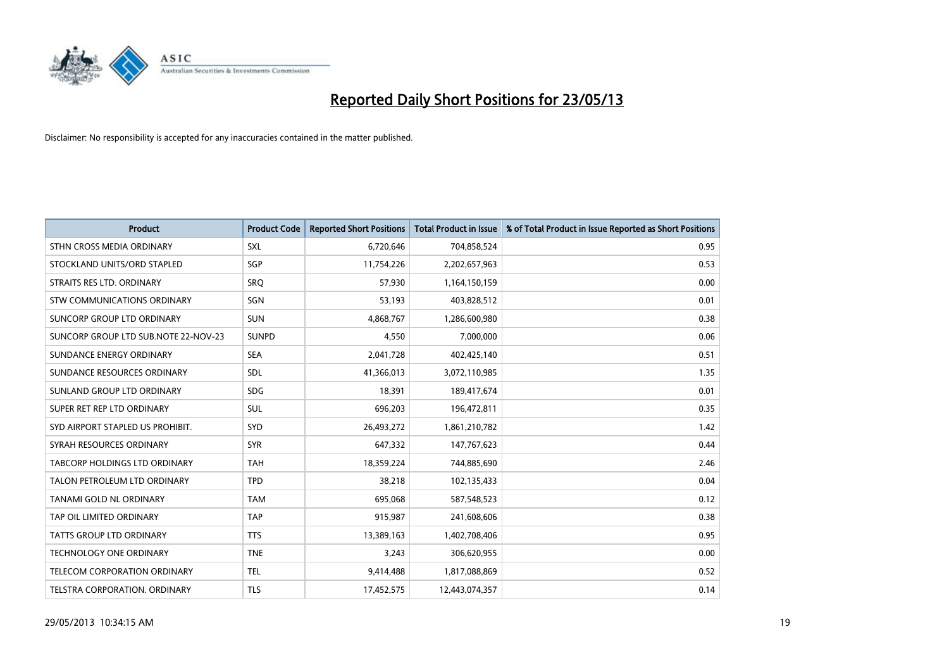

| <b>Product</b>                       | <b>Product Code</b> | <b>Reported Short Positions</b> | <b>Total Product in Issue</b> | % of Total Product in Issue Reported as Short Positions |
|--------------------------------------|---------------------|---------------------------------|-------------------------------|---------------------------------------------------------|
| STHN CROSS MEDIA ORDINARY            | <b>SXL</b>          | 6,720,646                       | 704,858,524                   | 0.95                                                    |
| STOCKLAND UNITS/ORD STAPLED          | <b>SGP</b>          | 11,754,226                      | 2,202,657,963                 | 0.53                                                    |
| STRAITS RES LTD. ORDINARY            | SRO                 | 57,930                          | 1,164,150,159                 | 0.00                                                    |
| STW COMMUNICATIONS ORDINARY          | SGN                 | 53,193                          | 403,828,512                   | 0.01                                                    |
| SUNCORP GROUP LTD ORDINARY           | <b>SUN</b>          | 4,868,767                       | 1,286,600,980                 | 0.38                                                    |
| SUNCORP GROUP LTD SUB.NOTE 22-NOV-23 | <b>SUNPD</b>        | 4,550                           | 7,000,000                     | 0.06                                                    |
| SUNDANCE ENERGY ORDINARY             | <b>SEA</b>          | 2,041,728                       | 402,425,140                   | 0.51                                                    |
| SUNDANCE RESOURCES ORDINARY          | <b>SDL</b>          | 41,366,013                      | 3,072,110,985                 | 1.35                                                    |
| SUNLAND GROUP LTD ORDINARY           | <b>SDG</b>          | 18,391                          | 189,417,674                   | 0.01                                                    |
| SUPER RET REP LTD ORDINARY           | <b>SUL</b>          | 696,203                         | 196,472,811                   | 0.35                                                    |
| SYD AIRPORT STAPLED US PROHIBIT.     | <b>SYD</b>          | 26,493,272                      | 1,861,210,782                 | 1.42                                                    |
| SYRAH RESOURCES ORDINARY             | <b>SYR</b>          | 647,332                         | 147,767,623                   | 0.44                                                    |
| TABCORP HOLDINGS LTD ORDINARY        | <b>TAH</b>          | 18,359,224                      | 744,885,690                   | 2.46                                                    |
| TALON PETROLEUM LTD ORDINARY         | <b>TPD</b>          | 38,218                          | 102,135,433                   | 0.04                                                    |
| TANAMI GOLD NL ORDINARY              | <b>TAM</b>          | 695,068                         | 587,548,523                   | 0.12                                                    |
| TAP OIL LIMITED ORDINARY             | <b>TAP</b>          | 915,987                         | 241,608,606                   | 0.38                                                    |
| TATTS GROUP LTD ORDINARY             | <b>TTS</b>          | 13,389,163                      | 1,402,708,406                 | 0.95                                                    |
| TECHNOLOGY ONE ORDINARY              | <b>TNE</b>          | 3,243                           | 306,620,955                   | 0.00                                                    |
| <b>TELECOM CORPORATION ORDINARY</b>  | <b>TEL</b>          | 9,414,488                       | 1,817,088,869                 | 0.52                                                    |
| TELSTRA CORPORATION. ORDINARY        | <b>TLS</b>          | 17,452,575                      | 12,443,074,357                | 0.14                                                    |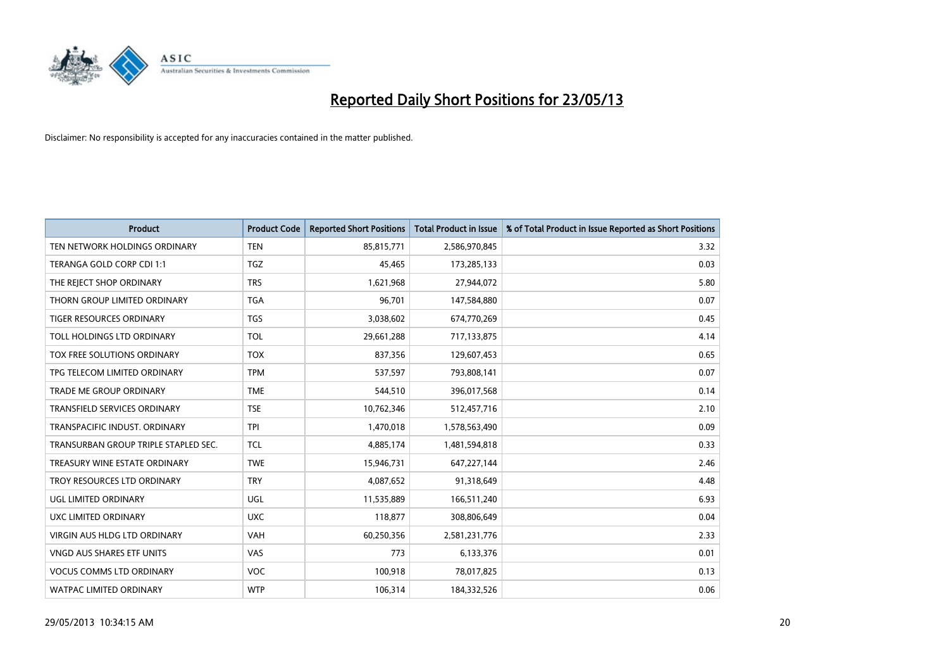

| <b>Product</b>                       | <b>Product Code</b> | <b>Reported Short Positions</b> | <b>Total Product in Issue</b> | % of Total Product in Issue Reported as Short Positions |
|--------------------------------------|---------------------|---------------------------------|-------------------------------|---------------------------------------------------------|
| TEN NETWORK HOLDINGS ORDINARY        | <b>TEN</b>          | 85,815,771                      | 2,586,970,845                 | 3.32                                                    |
| TERANGA GOLD CORP CDI 1:1            | <b>TGZ</b>          | 45,465                          | 173,285,133                   | 0.03                                                    |
| THE REJECT SHOP ORDINARY             | <b>TRS</b>          | 1,621,968                       | 27,944,072                    | 5.80                                                    |
| THORN GROUP LIMITED ORDINARY         | <b>TGA</b>          | 96,701                          | 147,584,880                   | 0.07                                                    |
| <b>TIGER RESOURCES ORDINARY</b>      | <b>TGS</b>          | 3,038,602                       | 674,770,269                   | 0.45                                                    |
| TOLL HOLDINGS LTD ORDINARY           | <b>TOL</b>          | 29,661,288                      | 717,133,875                   | 4.14                                                    |
| TOX FREE SOLUTIONS ORDINARY          | <b>TOX</b>          | 837,356                         | 129,607,453                   | 0.65                                                    |
| TPG TELECOM LIMITED ORDINARY         | <b>TPM</b>          | 537,597                         | 793,808,141                   | 0.07                                                    |
| <b>TRADE ME GROUP ORDINARY</b>       | <b>TME</b>          | 544,510                         | 396,017,568                   | 0.14                                                    |
| <b>TRANSFIELD SERVICES ORDINARY</b>  | <b>TSE</b>          | 10,762,346                      | 512,457,716                   | 2.10                                                    |
| TRANSPACIFIC INDUST. ORDINARY        | <b>TPI</b>          | 1,470,018                       | 1,578,563,490                 | 0.09                                                    |
| TRANSURBAN GROUP TRIPLE STAPLED SEC. | <b>TCL</b>          | 4,885,174                       | 1,481,594,818                 | 0.33                                                    |
| TREASURY WINE ESTATE ORDINARY        | <b>TWE</b>          | 15,946,731                      | 647,227,144                   | 2.46                                                    |
| TROY RESOURCES LTD ORDINARY          | <b>TRY</b>          | 4,087,652                       | 91,318,649                    | 4.48                                                    |
| UGL LIMITED ORDINARY                 | UGL                 | 11,535,889                      | 166,511,240                   | 6.93                                                    |
| UXC LIMITED ORDINARY                 | <b>UXC</b>          | 118,877                         | 308,806,649                   | 0.04                                                    |
| VIRGIN AUS HLDG LTD ORDINARY         | VAH                 | 60,250,356                      | 2,581,231,776                 | 2.33                                                    |
| VNGD AUS SHARES ETF UNITS            | VAS                 | 773                             | 6,133,376                     | 0.01                                                    |
| <b>VOCUS COMMS LTD ORDINARY</b>      | <b>VOC</b>          | 100,918                         | 78,017,825                    | 0.13                                                    |
| WATPAC LIMITED ORDINARY              | <b>WTP</b>          | 106,314                         | 184,332,526                   | 0.06                                                    |